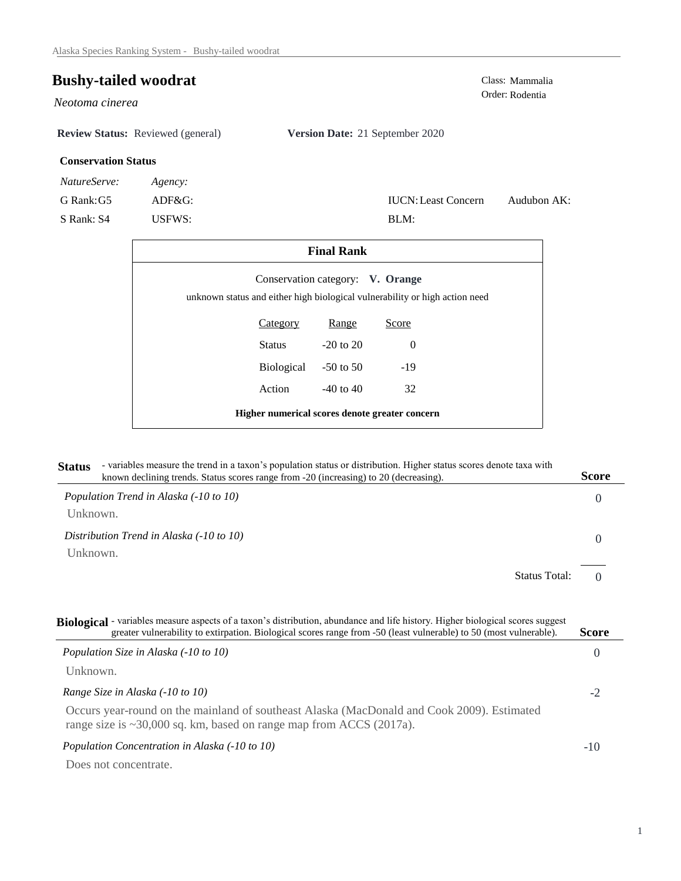## **Bushy-tailed woodrat**

*Neotoma cinerea* 

**Review Status:** Reviewed (general) **Version Date:** 21 September 2020

BLM:

IUCN:Least Concern

## **Conservation Status**

*NatureServe: Agency:*

G Rank:G5 ADF&G:

S Rank: S4 USFWS:

| Class: Mammalia |
|-----------------|
| Order: Rodentia |

Audubon AK:

| <b>Final Rank</b>                                                           |            |                                  |          |  |
|-----------------------------------------------------------------------------|------------|----------------------------------|----------|--|
| unknown status and either high biological vulnerability or high action need |            | Conservation category: V. Orange |          |  |
|                                                                             | Category   | Range                            | Score    |  |
|                                                                             | Status     | $-20$ to $20$                    | $\Omega$ |  |
|                                                                             | Biological | $-50$ to 50                      | $-19$    |  |
|                                                                             | Action     | $-40$ to $40$                    | 32       |  |
| Higher numerical scores denote greater concern                              |            |                                  |          |  |

| Status - variables measure the trend in a taxon's population status or distribution. Higher status scores denote taxa with |       |
|----------------------------------------------------------------------------------------------------------------------------|-------|
| known declining trends. Status scores range from -20 (increasing) to 20 (decreasing).                                      | Score |
|                                                                                                                            |       |

| Population Trend in Alaska (-10 to 10)   | $\theta$ |
|------------------------------------------|----------|
| Unknown.                                 |          |
| Distribution Trend in Alaska (-10 to 10) |          |
| Unknown.                                 |          |
| <b>Status Total:</b>                     |          |

| Biological - variables measure aspects of a taxon's distribution, abundance and life history. Higher biological scores suggest<br>greater vulnerability to extirpation. Biological scores range from -50 (least vulnerable) to 50 (most vulnerable). | <b>Score</b> |
|------------------------------------------------------------------------------------------------------------------------------------------------------------------------------------------------------------------------------------------------------|--------------|
| Population Size in Alaska (-10 to 10)                                                                                                                                                                                                                | $\theta$     |
| Unknown.                                                                                                                                                                                                                                             |              |
| Range Size in Alaska (-10 to 10)                                                                                                                                                                                                                     | $-2$         |
| Occurs year-round on the mainland of southeast Alaska (MacDonald and Cook 2009). Estimated<br>range size is $\sim$ 30,000 sq. km, based on range map from ACCS (2017a).                                                                              |              |
| Population Concentration in Alaska (-10 to 10)                                                                                                                                                                                                       | $-10$        |
| Does not concentrate.                                                                                                                                                                                                                                |              |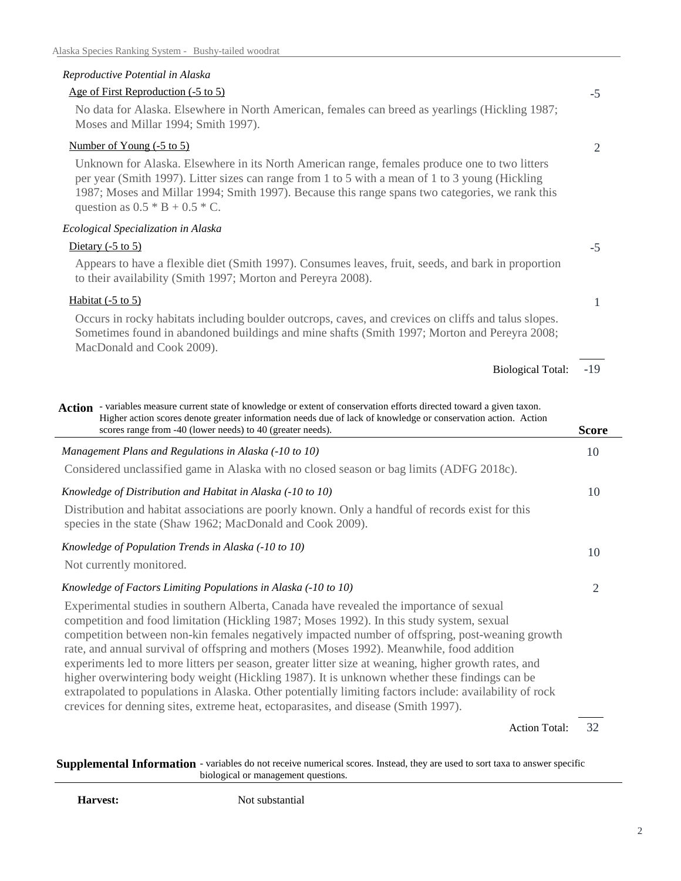## *Reproductive Potential in Alaska*

| Age of First Reproduction (-5 to 5)                                                                                                                                                                                                                                                                                                      | $-5$           |
|------------------------------------------------------------------------------------------------------------------------------------------------------------------------------------------------------------------------------------------------------------------------------------------------------------------------------------------|----------------|
| No data for Alaska. Elsewhere in North American, females can breed as yearlings (Hickling 1987;<br>Moses and Millar 1994; Smith 1997).                                                                                                                                                                                                   |                |
| Number of Young (-5 to 5)                                                                                                                                                                                                                                                                                                                | $\overline{2}$ |
| Unknown for Alaska. Elsewhere in its North American range, females produce one to two litters<br>per year (Smith 1997). Litter sizes can range from 1 to 5 with a mean of 1 to 3 young (Hickling<br>1987; Moses and Millar 1994; Smith 1997). Because this range spans two categories, we rank this<br>question as $0.5 * B + 0.5 * C$ . |                |
| Ecological Specialization in Alaska                                                                                                                                                                                                                                                                                                      |                |
| Dietary $(-5 \text{ to } 5)$                                                                                                                                                                                                                                                                                                             | $-5$           |
| Appears to have a flexible diet (Smith 1997). Consumes leaves, fruit, seeds, and bark in proportion<br>to their availability (Smith 1997; Morton and Pereyra 2008).                                                                                                                                                                      |                |
| Habitat $(-5 \text{ to } 5)$                                                                                                                                                                                                                                                                                                             | $\mathbf{1}$   |
| Occurs in rocky habitats including boulder outcrops, caves, and crevices on cliffs and talus slopes.<br>Sometimes found in abandoned buildings and mine shafts (Smith 1997; Morton and Pereyra 2008;<br>MacDonald and Cook 2009).                                                                                                        |                |
| <b>Biological Total:</b>                                                                                                                                                                                                                                                                                                                 | $-19$          |
| Action - variables measure current state of knowledge or extent of conservation efforts directed toward a given taxon.<br>Higher action scores denote greater information needs due of lack of knowledge or conservation action. Action<br>scores range from -40 (lower needs) to 40 (greater needs).                                    | <b>Score</b>   |
| Management Plans and Regulations in Alaska (-10 to 10)                                                                                                                                                                                                                                                                                   | 10             |
| Considered unclassified game in Alaska with no closed season or bag limits (ADFG 2018c).                                                                                                                                                                                                                                                 |                |
| Knowledge of Distribution and Habitat in Alaska (-10 to 10)                                                                                                                                                                                                                                                                              | 10             |
| Distribution and habitat associations are poorly known. Only a handful of records exist for this<br>species in the state (Shaw 1962; MacDonald and Cook 2009).                                                                                                                                                                           |                |
| Knowledge of Population Trends in Alaska (-10 to 10)                                                                                                                                                                                                                                                                                     | 10             |
| Not currently monitored.                                                                                                                                                                                                                                                                                                                 |                |
| Knowledge of Factors Limiting Populations in Alaska (-10 to 10)                                                                                                                                                                                                                                                                          | 2              |
| Experimental studies in southern Alberta, Canada have revealed the importance of sexual<br>competition and food limitation (Hickling 1987; Moses 1992). In this study system, sexual                                                                                                                                                     |                |

competition between non-kin females negatively impacted number of offspring, post-weaning growth rate, and annual survival of offspring and mothers (Moses 1992). Meanwhile, food addition experiments led to more litters per season, greater litter size at weaning, higher growth rates, and higher overwintering body weight (Hickling 1987). It is unknown whether these findings can be extrapolated to populations in Alaska. Other potentially limiting factors include: availability of rock crevices for denning sites, extreme heat, ectoparasites, and disease (Smith 1997).

> 32 Action Total:

**Supplemental Information** - variables do not receive numerical scores. Instead, they are used to sort taxa to answer specific biological or management questions.

**Harvest:** Not substantial